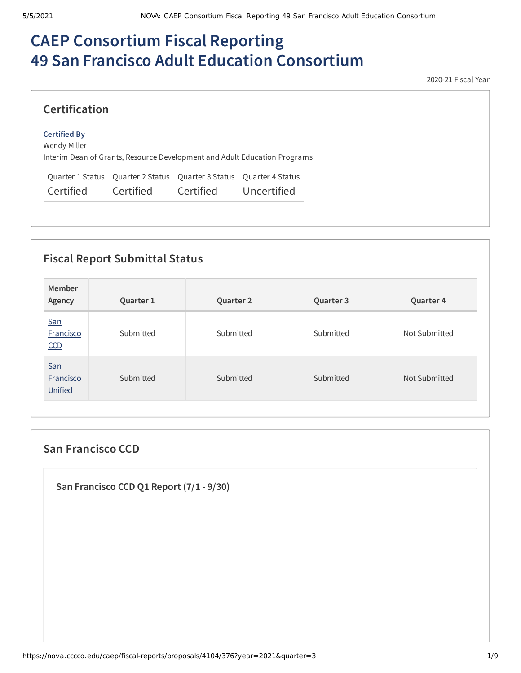# **CAEP Consortium Fiscal Reporting 49 San Francisco Adult Education Consortium**

2020-21 Fiscal Year

| <b>Certification</b>                |                                                                                  |           |                                                                           |  |
|-------------------------------------|----------------------------------------------------------------------------------|-----------|---------------------------------------------------------------------------|--|
| <b>Certified By</b><br>Wendy Miller |                                                                                  |           | Interim Dean of Grants, Resource Development and Adult Education Programs |  |
| Certified                           | Quarter 1 Status Quarter 2 Status Quarter 3 Status Quarter 4 Status<br>Certified | Certified | Uncertified                                                               |  |

# **Fiscal Report Submittal Status**

| Member<br>Agency                   | Quarter 1 | Quarter 2 | Quarter 3 | Quarter 4     |
|------------------------------------|-----------|-----------|-----------|---------------|
| San<br><b>Francisco</b><br>CCD     | Submitted | Submitted | Submitted | Not Submitted |
| San<br><b>Francisco</b><br>Unified | Submitted | Submitted | Submitted | Not Submitted |

# **San Francisco CCD**

**San Francisco CCD Q1 Report (7/1 - 9/30)**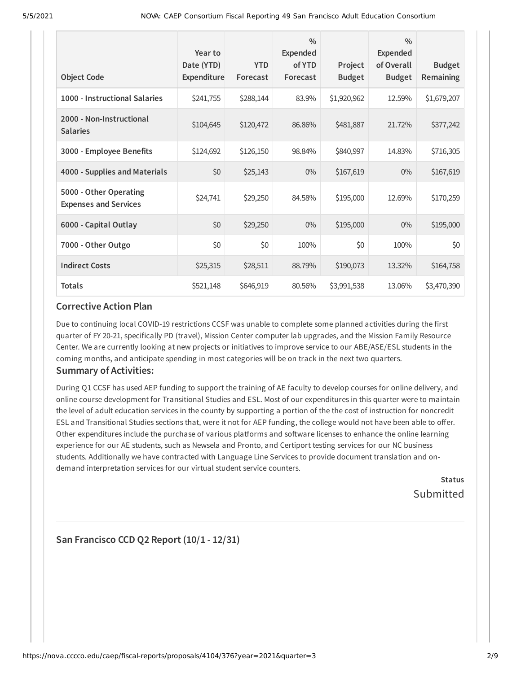| <b>Object Code</b>                                     | Year to<br>Date (YTD)<br><b>Expenditure</b> | <b>YTD</b><br>Forecast | $\frac{0}{0}$<br><b>Expended</b><br>of YTD<br>Forecast | Project<br><b>Budget</b> | $\frac{0}{0}$<br><b>Expended</b><br>of Overall<br><b>Budget</b> | <b>Budget</b><br>Remaining |
|--------------------------------------------------------|---------------------------------------------|------------------------|--------------------------------------------------------|--------------------------|-----------------------------------------------------------------|----------------------------|
| 1000 - Instructional Salaries                          | \$241,755                                   | \$288,144              | 83.9%                                                  | \$1,920,962              | 12.59%                                                          | \$1,679,207                |
| 2000 - Non-Instructional<br><b>Salaries</b>            | \$104,645                                   | \$120,472              | 86.86%                                                 | \$481,887                | 21.72%                                                          | \$377,242                  |
| 3000 - Employee Benefits                               | \$124,692                                   | \$126,150              | 98.84%                                                 | \$840,997                | 14.83%                                                          | \$716,305                  |
| 4000 - Supplies and Materials                          | \$0                                         | \$25,143               | $0\%$                                                  | \$167,619                | $0\%$                                                           | \$167,619                  |
| 5000 - Other Operating<br><b>Expenses and Services</b> | \$24,741                                    | \$29,250               | 84.58%                                                 | \$195,000                | 12.69%                                                          | \$170,259                  |
| 6000 - Capital Outlay                                  | \$0                                         | \$29,250               | $0\%$                                                  | \$195,000                | $0\%$                                                           | \$195,000                  |
| 7000 - Other Outgo                                     | \$0                                         | \$0                    | 100%                                                   | \$0                      | 100%                                                            | \$0                        |
| <b>Indirect Costs</b>                                  | \$25,315                                    | \$28,511               | 88.79%                                                 | \$190,073                | 13.32%                                                          | \$164,758                  |
| <b>Totals</b>                                          | \$521,148                                   | \$646,919              | 80.56%                                                 | \$3,991,538              | 13.06%                                                          | \$3,470,390                |

## **Corrective Action Plan**

Due to continuing local COVID-19 restrictions CCSF was unable to complete some planned activities during the first quarter of FY 20-21, specifically PD (travel), Mission Center computer lab upgrades, and the Mission Family Resource Center. We are currently looking at new projects or initiatives to improve service to our ABE/ASE/ESL students in the coming months, and anticipate spending in most categories will be on track in the next two quarters.

## **Summary of Activities:**

During Q1 CCSF has used AEP funding to support the training of AE faculty to develop courses for online delivery, and online course development for Transitional Studies and ESL. Most of our expenditures in this quarter were to maintain the level of adult education services in the county by supporting a portion of the the cost of instruction for noncredit ESL and Transitional Studies sections that, were it not for AEP funding, the college would not have been able to offer. Other expenditures include the purchase of various platforms and software licenses to enhance the online learning experience for our AE students, such as Newsela and Pronto, and Certiport testing services for our NC business students. Additionally we have contracted with Language Line Services to provide document translation and ondemand interpretation services for our virtual student service counters.

> **Status** Submitted

# **San Francisco CCD Q2 Report (10/1 - 12/31)**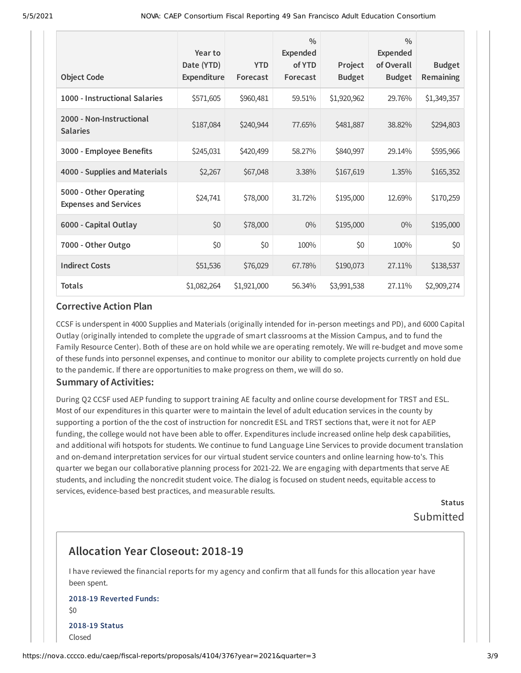| <b>Object Code</b>                                     | Year to<br>Date (YTD)<br>Expenditure | <b>YTD</b><br>Forecast | $\frac{0}{0}$<br>Expended<br>of YTD<br>Forecast | Project<br><b>Budget</b> | $\frac{0}{0}$<br><b>Expended</b><br>of Overall<br><b>Budget</b> | <b>Budget</b><br>Remaining |
|--------------------------------------------------------|--------------------------------------|------------------------|-------------------------------------------------|--------------------------|-----------------------------------------------------------------|----------------------------|
| 1000 - Instructional Salaries                          | \$571,605                            | \$960,481              | 59.51%                                          | \$1,920,962              | 29.76%                                                          | \$1,349,357                |
| 2000 - Non-Instructional<br><b>Salaries</b>            | \$187,084                            | \$240,944              | 77.65%                                          | \$481,887                | 38.82%                                                          | \$294,803                  |
| 3000 - Employee Benefits                               | \$245,031                            | \$420,499              | 58.27%                                          | \$840,997                | 29.14%                                                          | \$595,966                  |
| 4000 - Supplies and Materials                          | \$2,267                              | \$67,048               | 3.38%                                           | \$167,619                | 1.35%                                                           | \$165,352                  |
| 5000 - Other Operating<br><b>Expenses and Services</b> | \$24,741                             | \$78,000               | 31.72%                                          | \$195,000                | 12.69%                                                          | \$170,259                  |
| 6000 - Capital Outlay                                  | \$0                                  | \$78,000               | $0\%$                                           | \$195,000                | $0\%$                                                           | \$195,000                  |
| 7000 - Other Outgo                                     | \$0                                  | \$0                    | 100%                                            | \$0                      | 100%                                                            | \$0                        |
| <b>Indirect Costs</b>                                  | \$51,536                             | \$76,029               | 67.78%                                          | \$190,073                | 27.11%                                                          | \$138,537                  |
| <b>Totals</b>                                          | \$1,082,264                          | \$1,921,000            | 56.34%                                          | \$3,991,538              | 27.11%                                                          | \$2,909,274                |

#### **Corrective Action Plan**

CCSF is underspent in 4000 Supplies and Materials (originally intended for in-person meetings and PD), and 6000 Capital Outlay (originally intended to complete the upgrade of smart classrooms at the Mission Campus, and to fund the Family Resource Center). Both of these are on hold while we are operating remotely. We will re-budget and move some of these funds into personnel expenses, and continue to monitor our ability to complete projects currently on hold due to the pandemic. If there are opportunities to make progress on them, we will do so.

## **Summary of Activities:**

During Q2 CCSF used AEP funding to support training AE faculty and online course development for TRST and ESL. Most of our expenditures in this quarter were to maintain the level of adult education services in the county by supporting a portion of the the cost of instruction for noncredit ESL and TRST sections that, were it not for AEP funding, the college would not have been able to offer. Expenditures include increased online help desk capabilities, and additional wifi hotspots for students. We continue to fund Language Line Services to provide document translation and on-demand interpretation services for our virtual student service counters and online learning how-to's. This quarter we began our collaborative planning process for 2021-22. We are engaging with departments that serve AE students, and including the noncredit student voice. The dialog is focused on student needs, equitable access to services, evidence-based best practices, and measurable results.

> **Status** Submitted

# **Allocation Year Closeout: 2018-19**

I have reviewed the financial reports for my agency and confirm that all funds for this allocation year have been spent.

## **2018-19 Reverted Funds:**  $50$ **2018-19 Status** Closed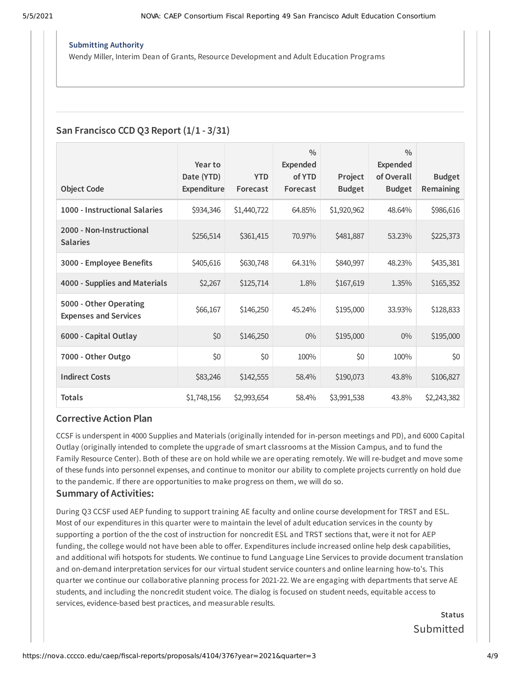#### **Submitting Authority**

Wendy Miller, Interim Dean of Grants, Resource Development and Adult Education Programs

## **San Francisco CCD Q3 Report (1/1 - 3/31)**

|                                                        | Year to                   |                        | $\frac{0}{0}$<br><b>Expended</b> |                          | $\frac{0}{0}$<br><b>Expended</b> |                            |
|--------------------------------------------------------|---------------------------|------------------------|----------------------------------|--------------------------|----------------------------------|----------------------------|
| <b>Object Code</b>                                     | Date (YTD)<br>Expenditure | <b>YTD</b><br>Forecast | of YTD<br>Forecast               | Project<br><b>Budget</b> | of Overall<br><b>Budget</b>      | <b>Budget</b><br>Remaining |
| 1000 - Instructional Salaries                          | \$934,346                 | \$1,440,722            | 64.85%                           | \$1,920,962              | 48.64%                           | \$986,616                  |
| 2000 - Non-Instructional<br><b>Salaries</b>            | \$256,514                 | \$361,415              | 70.97%                           | \$481,887                | 53.23%                           | \$225,373                  |
| 3000 - Employee Benefits                               | \$405,616                 | \$630,748              | 64.31%                           | \$840,997                | 48.23%                           | \$435,381                  |
| 4000 - Supplies and Materials                          | \$2,267                   | \$125,714              | 1.8%                             | \$167,619                | 1.35%                            | \$165,352                  |
| 5000 - Other Operating<br><b>Expenses and Services</b> | \$66,167                  | \$146,250              | 45.24%                           | \$195,000                | 33.93%                           | \$128,833                  |
| 6000 - Capital Outlay                                  | \$0                       | \$146,250              | 0%                               | \$195,000                | $0\%$                            | \$195,000                  |
| 7000 - Other Outgo                                     | \$0                       | \$0                    | 100%                             | \$0                      | 100%                             | \$0                        |
| <b>Indirect Costs</b>                                  | \$83,246                  | \$142,555              | 58.4%                            | \$190,073                | 43.8%                            | \$106,827                  |
| <b>Totals</b>                                          | \$1,748,156               | \$2,993,654            | 58.4%                            | \$3,991,538              | 43.8%                            | \$2,243,382                |

#### **Corrective Action Plan**

CCSF is underspent in 4000 Supplies and Materials (originally intended for in-person meetings and PD), and 6000 Capital Outlay (originally intended to complete the upgrade of smart classrooms at the Mission Campus, and to fund the Family Resource Center). Both of these are on hold while we are operating remotely. We will re-budget and move some of these funds into personnel expenses, and continue to monitor our ability to complete projects currently on hold due to the pandemic. If there are opportunities to make progress on them, we will do so.

#### **Summary of Activities:**

During Q3 CCSF used AEP funding to support training AE faculty and online course development for TRST and ESL. Most of our expenditures in this quarter were to maintain the level of adult education services in the county by supporting a portion of the the cost of instruction for noncredit ESL and TRST sections that, were it not for AEP funding, the college would not have been able to offer. Expenditures include increased online help desk capabilities, and additional wifi hotspots for students. We continue to fund Language Line Services to provide document translation and on-demand interpretation services for our virtual student service counters and online learning how-to's. This quarter we continue our collaborative planning process for 2021-22. We are engaging with departments that serve AE students, and including the noncredit student voice. The dialog is focused on student needs, equitable access to services, evidence-based best practices, and measurable results.

> **Status** Submitted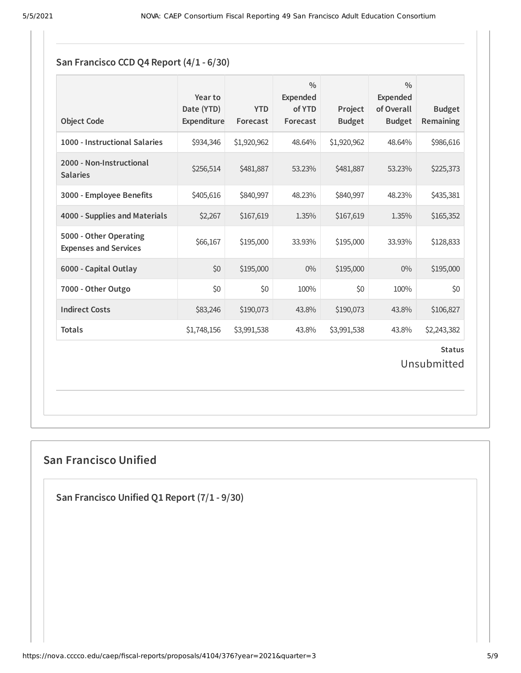# **San Francisco CCD Q4 Report (4/1 - 6/30)**

| <b>Object Code</b>                                     | Year to<br>Date (YTD)<br>Expenditure | <b>YTD</b><br>Forecast | $\frac{0}{0}$<br><b>Expended</b><br>of YTD<br>Forecast | Project<br><b>Budget</b> | $\frac{0}{0}$<br><b>Expended</b><br>of Overall<br><b>Budget</b> | <b>Budget</b><br>Remaining |  |  |
|--------------------------------------------------------|--------------------------------------|------------------------|--------------------------------------------------------|--------------------------|-----------------------------------------------------------------|----------------------------|--|--|
| 1000 - Instructional Salaries                          | \$934,346                            | \$1,920,962            | 48.64%                                                 | \$1,920,962              | 48.64%                                                          | \$986,616                  |  |  |
| 2000 - Non-Instructional<br><b>Salaries</b>            | \$256,514                            | \$481,887              | 53.23%                                                 | \$481,887                | 53.23%                                                          | \$225,373                  |  |  |
| 3000 - Employee Benefits                               | \$405,616                            | \$840,997              | 48.23%                                                 | \$840,997                | 48.23%                                                          | \$435,381                  |  |  |
| 4000 - Supplies and Materials                          | \$2,267                              | \$167,619              | 1.35%                                                  | \$167,619                | 1.35%                                                           | \$165,352                  |  |  |
| 5000 - Other Operating<br><b>Expenses and Services</b> | \$66,167                             | \$195,000              | 33.93%                                                 | \$195,000                | 33.93%                                                          | \$128,833                  |  |  |
| 6000 - Capital Outlay                                  | \$0                                  | \$195,000              | $0\%$                                                  | \$195,000                | $0\%$                                                           | \$195,000                  |  |  |
| 7000 - Other Outgo                                     | \$0                                  | \$0                    | 100%                                                   | \$0                      | 100%                                                            | \$0                        |  |  |
| <b>Indirect Costs</b>                                  | \$83,246                             | \$190,073              | 43.8%                                                  | \$190,073                | 43.8%                                                           | \$106,827                  |  |  |
| <b>Totals</b>                                          | \$1,748,156                          | \$3,991,538            | 43.8%                                                  | \$3,991,538              | 43.8%                                                           | \$2,243,382                |  |  |
| <b>Status</b><br>Unsubmitted                           |                                      |                        |                                                        |                          |                                                                 |                            |  |  |

# **San Francisco Unified**

**San Francisco Unified Q1 Report (7/1 - 9/30)**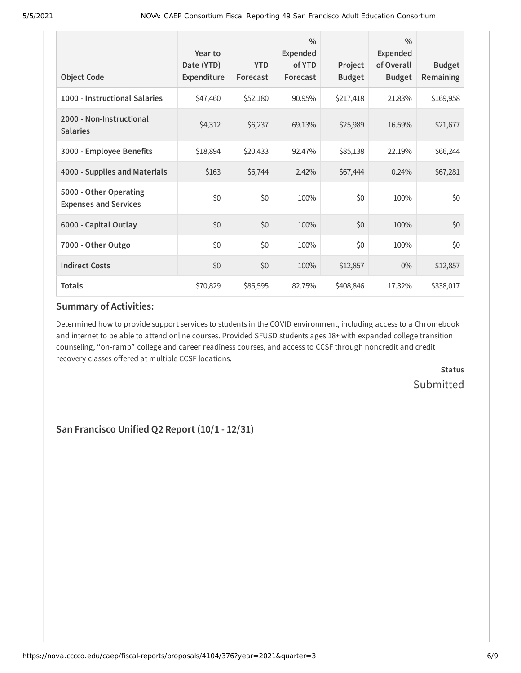| <b>Object Code</b>                                     | Year to<br>Date (YTD)<br>Expenditure | <b>YTD</b><br>Forecast | $\frac{0}{0}$<br><b>Expended</b><br>of YTD<br>Forecast | Project<br><b>Budget</b> | $\frac{0}{0}$<br><b>Expended</b><br>of Overall<br><b>Budget</b> | <b>Budget</b><br><b>Remaining</b> |
|--------------------------------------------------------|--------------------------------------|------------------------|--------------------------------------------------------|--------------------------|-----------------------------------------------------------------|-----------------------------------|
| 1000 - Instructional Salaries                          | \$47,460                             | \$52,180               | 90.95%                                                 | \$217,418                | 21.83%                                                          | \$169,958                         |
| 2000 - Non-Instructional<br><b>Salaries</b>            | \$4,312                              | \$6,237                | 69.13%                                                 | \$25,989                 | 16.59%                                                          | \$21,677                          |
| 3000 - Employee Benefits                               | \$18,894                             | \$20,433               | 92.47%                                                 | \$85,138                 | 22.19%                                                          | \$66,244                          |
| 4000 - Supplies and Materials                          | \$163                                | \$6,744                | 2.42%                                                  | \$67,444                 | 0.24%                                                           | \$67,281                          |
| 5000 - Other Operating<br><b>Expenses and Services</b> | \$0                                  | \$0                    | 100%                                                   | \$0                      | 100%                                                            | \$0                               |
| 6000 - Capital Outlay                                  | \$0                                  | \$0                    | 100%                                                   | \$0                      | 100%                                                            | \$0                               |
| 7000 - Other Outgo                                     | \$0                                  | \$0                    | 100%                                                   | \$0                      | 100%                                                            | \$0                               |
| <b>Indirect Costs</b>                                  | \$0                                  | \$0                    | 100%                                                   | \$12,857                 | $0\%$                                                           | \$12,857                          |
| <b>Totals</b>                                          | \$70,829                             | \$85,595               | 82.75%                                                 | \$408,846                | 17.32%                                                          | \$338,017                         |

## **Summary of Activities:**

Determined how to provide support services to students in the COVID environment, including access to a Chromebook and internet to be able to attend online courses. Provided SFUSD students ages 18+ with expanded college transition counseling, "on-ramp" college and career readiness courses, and access to CCSF through noncredit and credit recovery classes offered at multiple CCSF locations.

> **Status Submitted**

**San Francisco Unified Q2 Report (10/1 - 12/31)**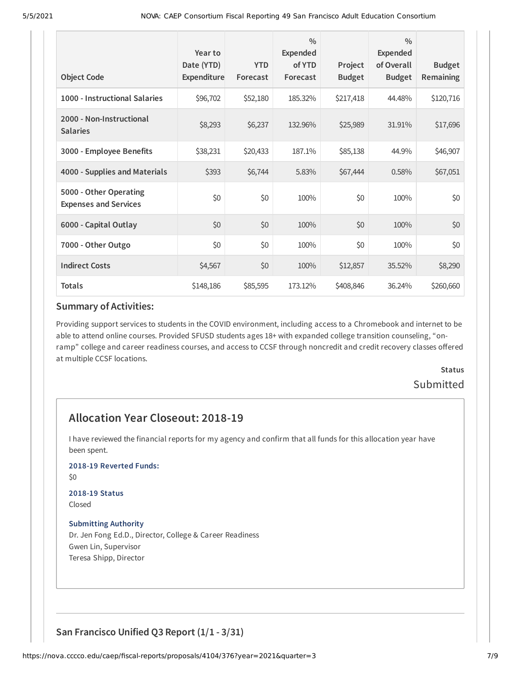|                                                        | Year to<br>Date (YTD) | <b>YTD</b> | $\frac{0}{0}$<br><b>Expended</b><br>of YTD | Project       | $\frac{0}{0}$<br>Expended<br>of Overall | <b>Budget</b>    |
|--------------------------------------------------------|-----------------------|------------|--------------------------------------------|---------------|-----------------------------------------|------------------|
| <b>Object Code</b>                                     | Expenditure           | Forecast   | Forecast                                   | <b>Budget</b> | <b>Budget</b>                           | <b>Remaining</b> |
| 1000 - Instructional Salaries                          | \$96,702              | \$52,180   | 185.32%                                    | \$217,418     | 44.48%                                  | \$120,716        |
| 2000 - Non-Instructional<br><b>Salaries</b>            | \$8,293               | \$6,237    | 132.96%                                    | \$25,989      | 31.91%                                  | \$17,696         |
| 3000 - Employee Benefits                               | \$38,231              | \$20,433   | 187.1%                                     | \$85,138      | 44.9%                                   | \$46,907         |
| 4000 - Supplies and Materials                          | \$393                 | \$6,744    | 5.83%                                      | \$67,444      | 0.58%                                   | \$67,051         |
| 5000 - Other Operating<br><b>Expenses and Services</b> | \$0                   | \$0        | 100%                                       | \$0           | 100%                                    | \$0              |
| 6000 - Capital Outlay                                  | \$0                   | \$0        | 100%                                       | \$0           | 100%                                    | \$0              |
| 7000 - Other Outgo                                     | \$0                   | \$0        | 100%                                       | \$0           | 100%                                    | \$0              |
| <b>Indirect Costs</b>                                  | \$4,567               | \$0        | 100%                                       | \$12,857      | 35.52%                                  | \$8,290          |
| <b>Totals</b>                                          | \$148,186             | \$85,595   | 173.12%                                    | \$408,846     | 36.24%                                  | \$260,660        |

#### **Summary of Activities:**

Providing support services to students in the COVID environment, including access to a Chromebook and internet to be able to attend online courses. Provided SFUSD students ages 18+ with expanded college transition counseling, "onramp" college and career readiness courses, and access to CCSF through noncredit and credit recovery classes offered at multiple CCSF locations.

> **Status** Submitted

# **Allocation Year Closeout: 2018-19**

I have reviewed the financial reports for my agency and confirm that all funds for this allocation year have been spent.

#### **2018-19 Reverted Funds:**

\$0

#### **2018-19 Status** Closed

#### **Submitting Authority**

Dr. Jen Fong Ed.D., Director, College & Career Readiness Gwen Lin, Supervisor Teresa Shipp, Director

## **San Francisco Unified Q3 Report (1/1 - 3/31)**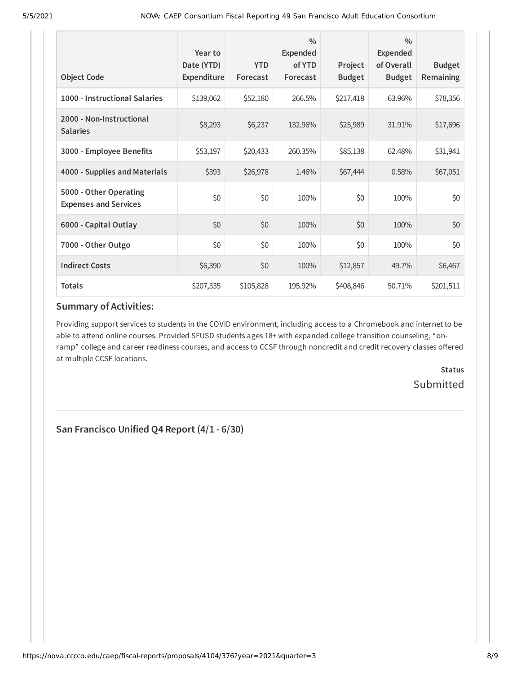| <b>Object Code</b>                                     | Year to<br>Date (YTD)<br>Expenditure | <b>YTD</b><br>Forecast | $\frac{0}{0}$<br><b>Expended</b><br>of YTD<br>Forecast | Project<br><b>Budget</b> | $\frac{0}{0}$<br>Expended<br>of Overall<br><b>Budget</b> | <b>Budget</b><br><b>Remaining</b> |
|--------------------------------------------------------|--------------------------------------|------------------------|--------------------------------------------------------|--------------------------|----------------------------------------------------------|-----------------------------------|
| 1000 - Instructional Salaries                          | \$139,062                            | \$52,180               | 266.5%                                                 | \$217,418                | 63.96%                                                   | \$78,356                          |
| 2000 - Non-Instructional<br><b>Salaries</b>            | \$8,293                              | \$6,237                | 132.96%                                                | \$25,989                 | 31.91%                                                   | \$17,696                          |
| 3000 - Employee Benefits                               | \$53,197                             | \$20,433               | 260.35%                                                | \$85,138                 | 62.48%                                                   | \$31,941                          |
| 4000 - Supplies and Materials                          | \$393                                | \$26,978               | 1.46%                                                  | \$67,444                 | 0.58%                                                    | \$67,051                          |
| 5000 - Other Operating<br><b>Expenses and Services</b> | \$0                                  | \$0                    | 100%                                                   | \$0                      | 100%                                                     | \$0                               |
| 6000 - Capital Outlay                                  | \$0                                  | \$0                    | 100%                                                   | \$0                      | 100%                                                     | \$0                               |
| 7000 - Other Outgo                                     | \$0                                  | \$0                    | 100%                                                   | \$0                      | 100%                                                     | \$0                               |
| <b>Indirect Costs</b>                                  | \$6,390                              | \$0                    | 100%                                                   | \$12,857                 | 49.7%                                                    | \$6,467                           |
| <b>Totals</b>                                          | \$207,335                            | \$105,828              | 195.92%                                                | \$408,846                | 50.71%                                                   | \$201,511                         |

## **Summary of Activities:**

Providing support services to students in the COVID environment, including access to a Chromebook and internet to be able to attend online courses. Provided SFUSD students ages 18+ with expanded college transition counseling, "onramp" college and career readiness courses, and access to CCSF through noncredit and credit recovery classes offered at multiple CCSF locations.

> **Status Submitted**

**San Francisco Unified Q4 Report (4/1 - 6/30)**